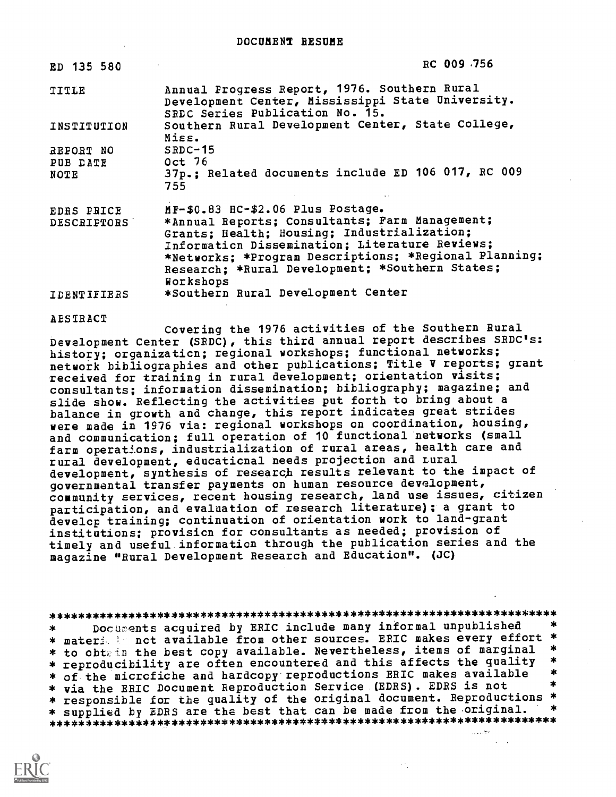$\sim$   $\sim$   $\sim$   $\sim$   $\sim$   $\sim$   $\sim$ 

| ED 135 580         | RC 009 756                                                                                                                                                                                                                                                               |
|--------------------|--------------------------------------------------------------------------------------------------------------------------------------------------------------------------------------------------------------------------------------------------------------------------|
| TITLE              | Annual Progress Report, 1976. Southern Rural<br>Development Center, Mississippi State University.<br>SRDC Series Publication No. 15.                                                                                                                                     |
| INSTITUTION        | Southern Rural Development Center, State College,<br>Miss.                                                                                                                                                                                                               |
| <b>REPORT NO</b>   | SRDC-15                                                                                                                                                                                                                                                                  |
| PUB DATE           | Oct 76                                                                                                                                                                                                                                                                   |
| <b>NOTE</b>        | 37p.; Related documents include ED 106 017, RC 009<br>755                                                                                                                                                                                                                |
| EDRS PRICE         | MF-\$0.83 HC-\$2.06 Plus Postage.                                                                                                                                                                                                                                        |
| <b>DESCRIPTORS</b> | *Annual Reports: Consultants; Farm Management;<br>Grants: Health; Housing; Industrialization;<br>Information Dissemination; Literature Reviews;<br>*Networks; *Program Descriptions; *Regional Planning;<br>Research; *Rural Development; *Southern States;<br>Workshops |
| <b>TERNTIFIERS</b> | *Southern Rural Development Center                                                                                                                                                                                                                                       |

**AESTRACT** 

Covering the 1976 activities of the Southern Rural Development Center (SRDC), this third annual report describes SRDC's: history; organization; regional workshops; functional networks; network bibliographies and other publications; Title V reports; grant received for training in rural development; orientation visits; consultants; information dissemination; bibliography; magazine; and slide show. Reflecting the activities put forth to bring about a balance in growth and change, this report indicates great strides were made in 1976 via: regional workshops on coordination, housing, and communication; full operation of 10 functional networks (small farm operations, industrialization of rural areas, health care and rural development, educaticnal needs projection and tural development, synthesis of research results relevant to the impact of governmental transfer payments on human resource development, community services, recent housing research, land use issues, citizen participation, and evaluation of research literature); a grant to develop training; continuation of orientation work to land-grant institutions; provision for consultants as needed; provision of timely and useful information through the publication series and the magazine "Rural Development Research and Education". (JC)

Documents acquired by ERIC include many informal unpublished  $\star$  . \* materiel not available from other sources. ERIC makes every effort \* \* to obtain the best copy available. Nevertheless, items of marginal ∗ \* reproducibility are often encountered and this affects the quality  $\ast$ \* of the micrcfiche and hardcopy reproductions ERIC makes available  $\star$ \* via the ERIC Document Reproduction Service (EDRS). EDRS is not \* responsible for the quality of the original document. Reproductions \* \* supplied by EDRS are the best that can be made from the original. 

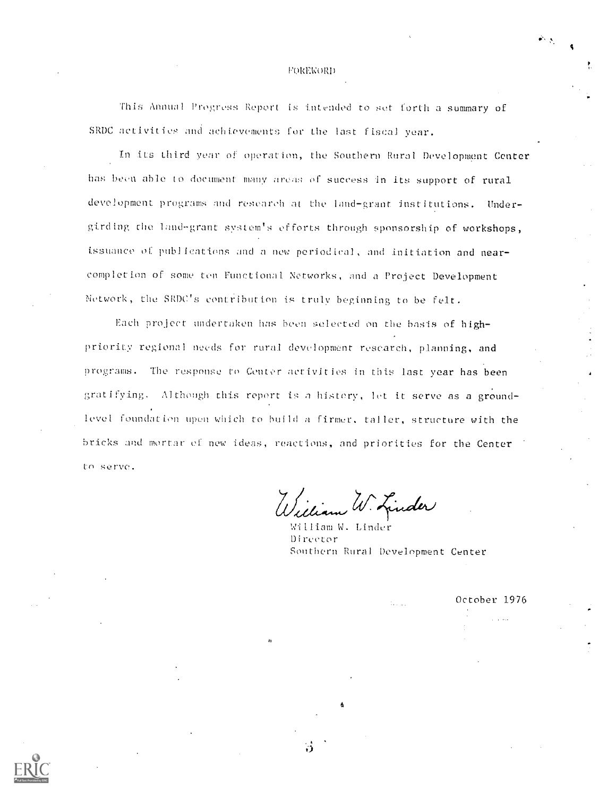### LORI:WORD

This Annual Progress Report is intended to set forth a summary of SRDC activities and achievements for the last fiscal year.

In its third year of operation, the Southern Rural Development Center has been able to document many areas of success in its support of rural development programs and research at the land-grant institutions. Undergirding the land-grant svstem's ofForts through sponsorship of workshops, issuance of publications and a new periodical, and initiation and nearcompletion of some ton Functional Networks, and a Project Development Network, the SRDC's contribution is truly beginning to be felt.

Each project undertaken has been selected on the basis of highpriority regional needs for rural development research, planning, and programs. The response to Center activities in this last year has been gratifying. Althongh this report is a history, let it serve as a groundlevel foundation upon which co build a firmer. taller, structure with the bricks and mortar ef new ideas, reactions, and priorities for the Center tn serve.

cliam W. Linder

st,

 $\beta$ 

William W. Linder Director Southern Rural Development Center

October 1976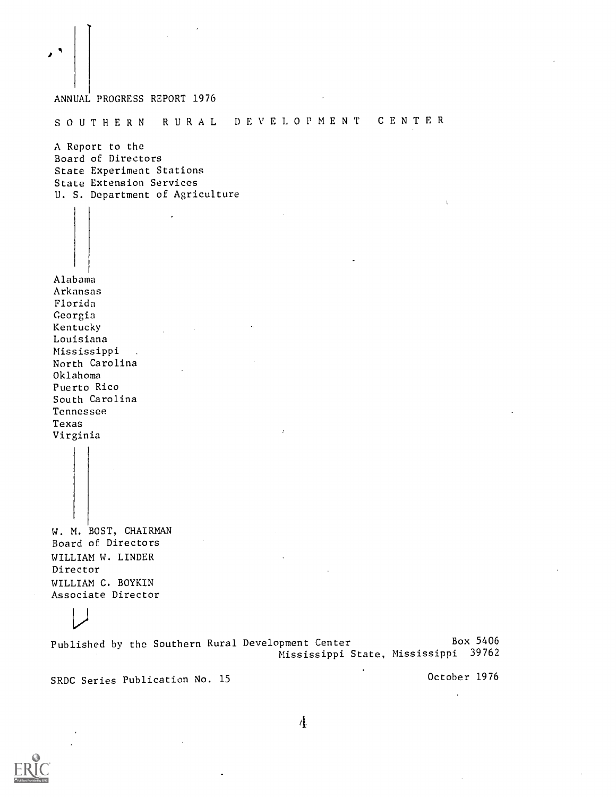ANNUAL PROGRESS REPORT 1976 SOUTHERN RURAL DEVELOPMENT CENTER A Report to the Board of Directors State Experiment Stations State Extension Services U. S. Department of Agriculture Alabama Arkansas Florida Georgia Kentucky Louisiana Mississippi . North Carolina Oklahoma Puerto Rico South Carolina Tennessee Texas Virginia W. M. BOST, CHAIRMAN Board of Directors WILLIAM W. LINDER Director WILLIAM C. BOYKIN Associate Director Published by the Southern Rural Development Center Box 5406 Mississippi State, Mississippi 39762 SRDC Series Publication No. 15 Contraction of the United States of the United States of the United States of the U

 $\Lambda$ 

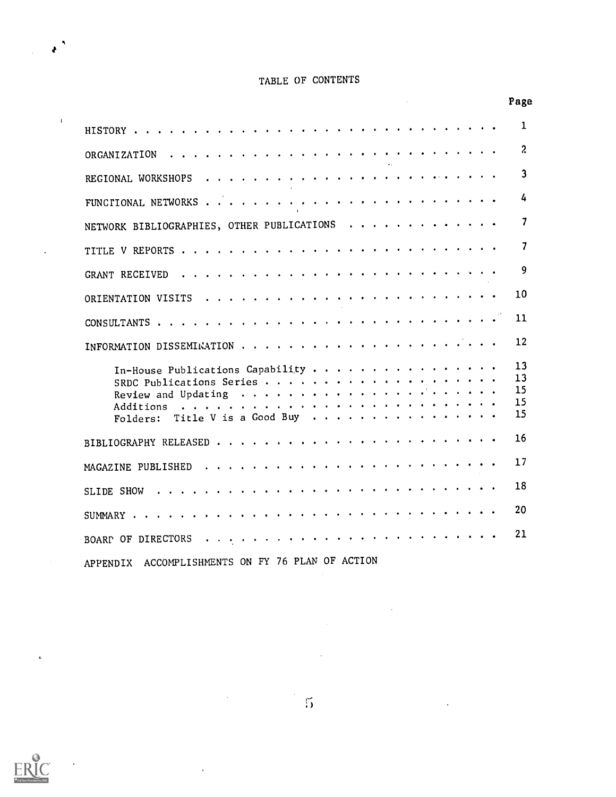# TABLE OF CONTENTS

|                                                                                                                            |  |  |  |  |  |  | Page                       |
|----------------------------------------------------------------------------------------------------------------------------|--|--|--|--|--|--|----------------------------|
|                                                                                                                            |  |  |  |  |  |  | 1                          |
|                                                                                                                            |  |  |  |  |  |  | $\overline{c}$             |
|                                                                                                                            |  |  |  |  |  |  | 3                          |
|                                                                                                                            |  |  |  |  |  |  | 4                          |
| NETWORK BIBLIOGRAPHIES, OTHER PUBLICATIONS                                                                                 |  |  |  |  |  |  | 7                          |
|                                                                                                                            |  |  |  |  |  |  | 7                          |
| والمتحاولة والمتماعي والمتعاونة والمتماعي والمتماعي والمتمار والمتماري والمتماري والمتماري<br>GRANT RECEIVED               |  |  |  |  |  |  | 9                          |
|                                                                                                                            |  |  |  |  |  |  | 10                         |
|                                                                                                                            |  |  |  |  |  |  | 11                         |
|                                                                                                                            |  |  |  |  |  |  | 12                         |
| In-House Publications Capability<br>Title V is a Good Buy<br>Folders:                                                      |  |  |  |  |  |  | 13<br>13<br>15<br>15<br>15 |
|                                                                                                                            |  |  |  |  |  |  | 16                         |
|                                                                                                                            |  |  |  |  |  |  | 17                         |
| والمحاولة والمتعاونة والمتعاونة والمتعاونة والمتعاونة والمتعاونة والمتعاونة والمتعاونة والمتعاونة والمتعاونة<br>SLIDE SHOW |  |  |  |  |  |  | 18                         |
|                                                                                                                            |  |  |  |  |  |  | 20                         |
|                                                                                                                            |  |  |  |  |  |  | 21                         |
| APPENDIX ACCOMPLISHMENTS ON FY 76 PLAN OF ACTION                                                                           |  |  |  |  |  |  |                            |



 $\hat{\mathbf{c}}$ 

 $\mathbf{A}^{\mathcal{A}}$ 

 $\Delta \sim 10^4$ 

 $\frac{1}{2}$ 

)<br>1990年<br>1990年<br>1990年

 $\epsilon$ 

 $\sim 10^{11}$ 

 $\mathcal{L}^{\text{max}}_{\text{max}}$  ,  $\mathcal{L}^{\text{max}}_{\text{max}}$ 

 $\sim 100$  km s  $^{-1}$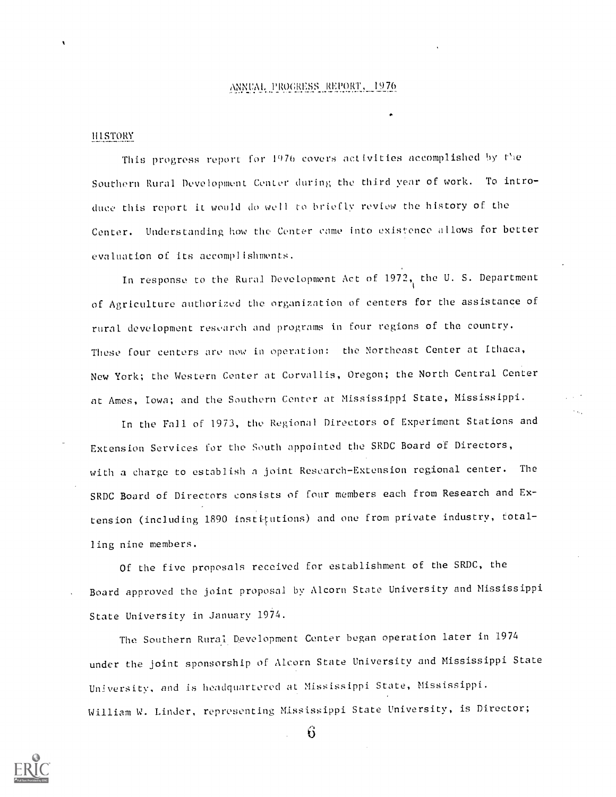### ANNEAL PROGRESS REPORT, 1976

### HISTORY

This progress report for  $1976$  covers activities accomplished by the Southern Rural Development Center during the third year of work. To introduce diis report it would do well to briefly review the history of the Center. Understanding how the Center came into existence allows for better evaluation of its accomplishments.

In response to the Rural Development Act of  $1972<sub>1</sub>$  the U.S. Department of Agriculture authorized the organization of centers for the assistance of rural development research and programs in four regions of the country. These four centers are now in operation: the Northeast Center at Ithaca, New York; the Western Center at Corvallis, Oregon; the North Central Center at Ames, Iowa; and the Southern Center at Mississippi State, Mississippi.

In the Fall of 1973, the Regional Directors of Experiment Stations and Extension Services for the South appointed the SRDC Board of Directors, with a charge to establish a joint Research-Extension regional center. The SRDC Board of Directors consists of four members each from Research and Extension (including 1890 institutions) and one from private industry, totalling nine members.

Of the five proposals received for establishment of the SRDC, the Board approved the joint proposal by Alcorn State University and Mississippi State University in January 1974.

The Southern Rural Development Center began operation later in 1974 under the joint sponsorship of Alcorn State University and Mississippi State University, and is headquartered at Mississippi State, Mississippi. William W. Linder, representing Mississippi State University, is Director;



 $\boldsymbol{\theta}$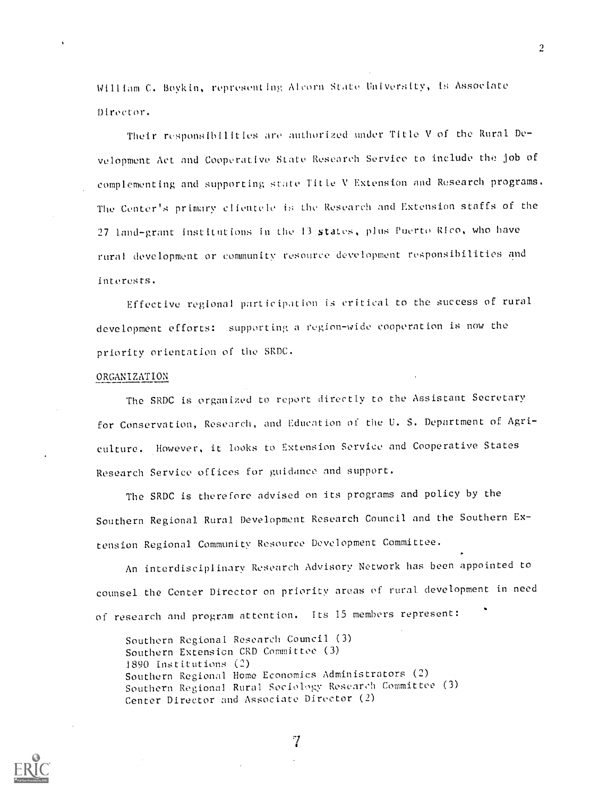William C. Boykin, representing Alcorn Stdte University, is Associate Director.

Their responsibilities are authorized under Title V of the Rural Development Act and Cooperative State Research Service to include the job of complementing and supporting state Title V Extension and Research programs. The Center's primary clientele is the Research and Extension staffs of the 27 land-grant institutions in the 13 states, plus Puerto Rico, who have rural development or community resource development responsibilities and interests.

Effective regional participation is critical to the success of rural development efforts: supportim; a region-wide cooperation is now the priority orientation of the SRDC.

### ORGANIZATION

The SRDC is organized to report directly to the Assistant Secretary for Conservation, Research, and Education of the U. S. Department of Agriculture. However, it looks to Extension Service and Cooperative States Research Service offices for guidance and support.

The SRDC is therefore advised on its programs and policy by the Southern Regional Rural Development Research Council and the Southern Extension Regional Community Resource Development Committee.

An interdisciplinary Research Advisory Network has been appointed to counsel the Center Director on priority areas of rural development in need of research and program attention. Its 15 members represent:

Southern Regional Research Council (3) Southern Extension CRD Committee (3) 1890 institutions (2) Southern Regional Home Economics Administrators (2) Southern Regional Rural Sociology Research Committee (3) Center Director and Associate Director (2)

7

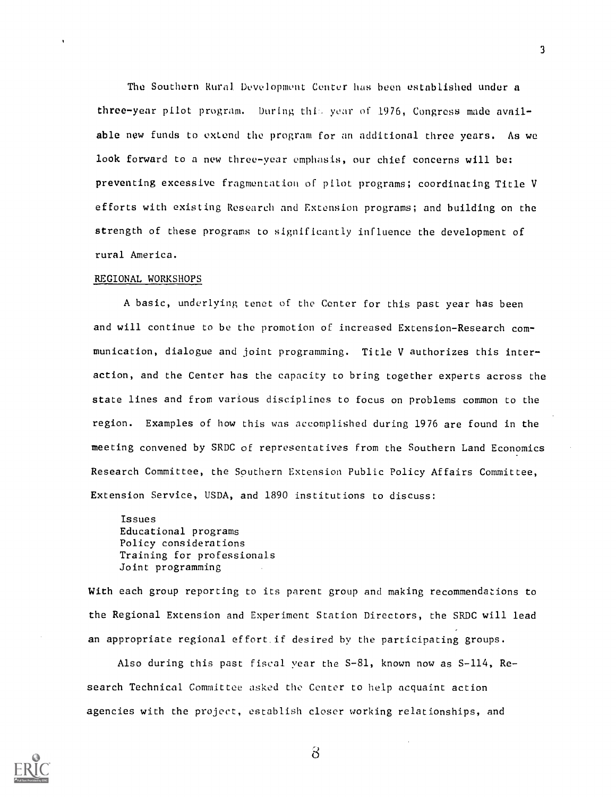The Southern Rural Development Center has been established under a three-year pilot program. During this year of 1976, Congress made available new funds to extend the program for an additional three years. As we look forward to a new three-year emphasis, our chief concerns will be: preventing excessive fragmentation of pilot programs; coordinating Title V efforts with existing Research and Extension programs; and building on the strength of these programs to significantly influence the development of rural America.

#### REGIONAL WORKSHOPS

A basic, underlying tenet of the Center for this past year has been and will continue to be the promotion of increased Extension-Research communication, dialogue and joint programming. Title V authorizes this interaction, and the Center has the capacity to bring together experts across the state lines and from various disciplines to focus on problems common to the region. Examples of how this was accomplished during 1976 are found in the meeting convened by SRDC of representatives from the Southern Land Economics Research Committee, the Southern Extension Public Policy Affairs Committee, Extension Service, USDA, and 1890 institutions to discuss:

Issues Educational programs Policy considerations Training for professionals Joint programming

With each group reporting to its parent group and making recommendations to the Regional Extension and Experiment Station Directors, the SRDC will lead an appropriate regional effort.if desired by the participating groups.

Also during this past fiscal year the S-81, known now as S-114, Research Technical Committee asked the Center to help acquaint action agencies with the project, establish closer working relationships, and

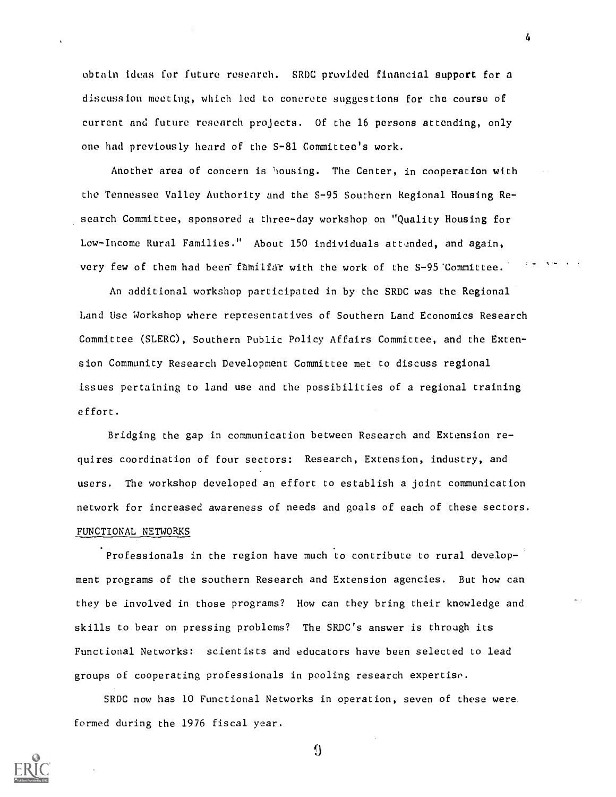obtain ideas for future research. SRDC provided financial support for a discussion meeting, which led Lo concrete suggestions for the course of current and future research projects. Of the 16 persons attending, only one had previously heard of the S-81 Committee's work.

Another area of concern is housing. The Center, in cooperation with the Tennessee Valley Authority and the S-95 Southern Regional Housing Research Committee, sponsored a three-day workshop on "Quality Housing for Low-Income Rural Families." About 150 individuals attended, and again, very few of them had been familiar with the work of the S-95 Committee.

An additional workshop participated in by the SRDC was the Regional Land Use Workshop where representatives of Southern Land Economics Research Committee (SLERC), Southern Public Policy Affairs Committee, and the Extension Community Research Development Committee met to discuss regional issues pertaining to land use and the possibilities of a regional training effort.

Bridging the gap in communication between Research and Extension requires coordination of four sectors: Research, Extension, industry, and users. The workshop developed an effort to establish a joint communication network for increased awareness of needs and goals of each of these sectors. FUNCTIONAL NETWORKS

Professionals in the region have much to contribute to rural development programs of the southern Research and Extension agencies. But how can they be involved in those programs? How can they bring their knowledge and skills to bear on pressing problems? The SRDC's answer is through its Functional Networks: scientists and educators have been selected to lead groups of cooperating professionals in pooling research expertise.

SRDC now has 10 Functional Networks in operation, seven of these were formed during the 1976 fiscal year.



 $\overline{0}$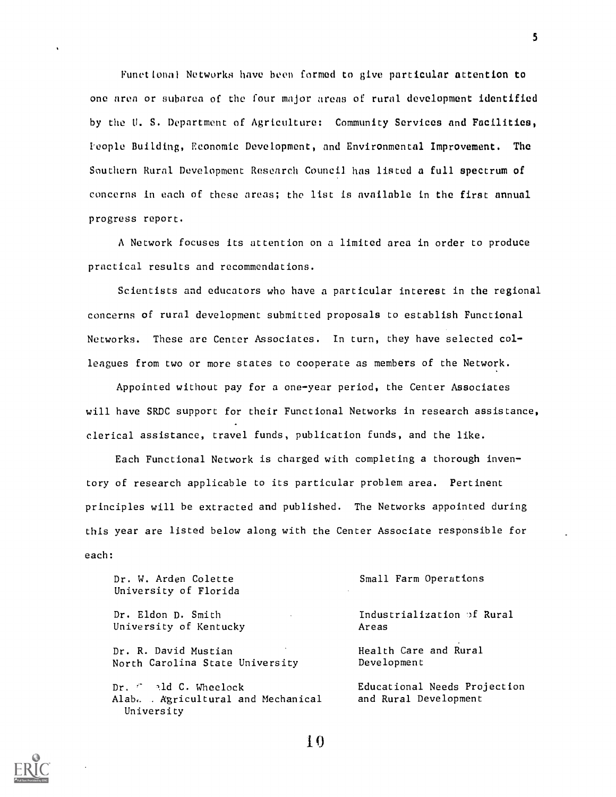Functional Networks have been formed to give particular attention to one area or subarea of the four major areas of rural development identified by the U. S. Department of Agriculture: Community Services and Facilities, I.eople Building, Economic Development, and Environmental Improvement. The Southern Rural Development Research Council has listed a full spectrum of concerns in each of these areas; the list is available in the first annual progress report.

A Network focuses its attention on a limited area in order to produce practical results and recommendations.

Scientists and educators who have a particular interest in the regional concerns of rural development submitted proposals to establish Functional Networks. These are Center Associates. In turn, they have selected colleagues from two or more states to cooperate as members of the Network.

Appointed without pay for a one-year period, the Center Associates will have SRDC support for their Functional Networks in research assistance, clerical assistance, travel funds, publication funds, and the like.

Each Functional Network is charged with completing a thorough inventory of research applicable to its particular problem area. Pertinent principles will be extracted and published. The Networks appointed during this year are listed below along with the Center Associate responsible for each:

| Dr. W. Arden Colette<br>University of Florida                              | Small Farm Operations                                 |
|----------------------------------------------------------------------------|-------------------------------------------------------|
| Dr. Eldon D. Smith                                                         | Industrialization of Rural                            |
| University of Kentucky                                                     | Areas                                                 |
| Dr. R. David Mustian                                                       | Health Care and Rural                                 |
| North Carolina State University                                            | Development                                           |
| $Dr.$ ald C. Wheelock<br>Alab. . Agricultural and Mechanical<br>University | Educational Needs Projection<br>and Rural Development |

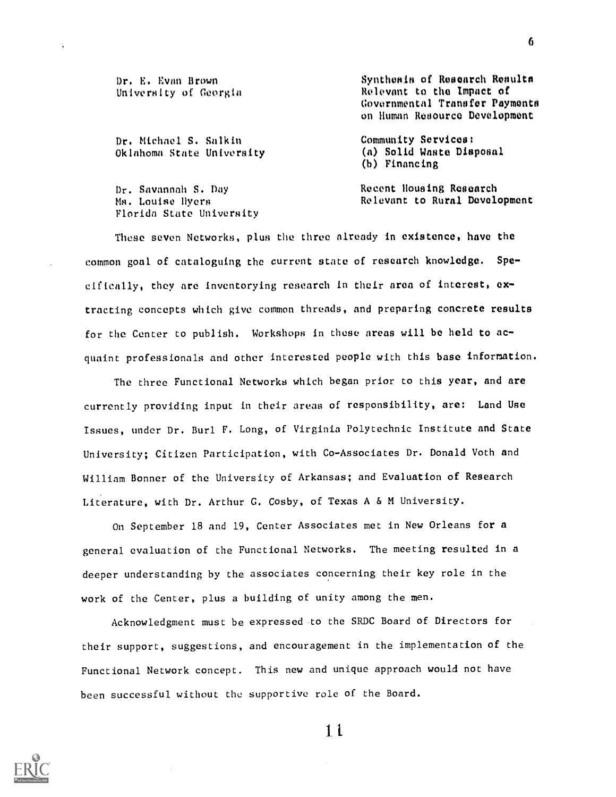| Dr. E. Evan Brown<br>University of Georgia         | Syntheaia of Research Reaulta<br>Relevant to the Impact of<br>Governmental Transfer Payments<br>on Human Resource Development |
|----------------------------------------------------|-------------------------------------------------------------------------------------------------------------------------------|
| Dr. Michael S. Salkin<br>Oklahoma State University | Community Services:<br>(a) Solid Waste Disposal<br>(b) Financing                                                              |
|                                                    |                                                                                                                               |

Dr. Savannah S. Day Ms. Louise Byers Florida State University Recent Housing Research Relevant to Rural Development

These seven Networks, plus the three already in existence, have the common goal of cataloguing the current state of research knowledge. Specifically, they are inventorying research in their area of interest, extracting concepts which give common threads, and preparing concrete results -for the Center to publish. Workshops in these areas will be held to acquaint professionals and other interested people with this base information.

The three Functional Networks which began prior to this year, and are currently providing input in their areas of responsibility, are: Land Use Issues, under Dr. Burl F. Long, of Virginia Polytechnic Institute and State University; Citizen Participation, with Co-Associates Dr. Donald Voth and William Bonner of the University of Arkansas; and Evaluation of Research Literature, with Dr. Arthur G. Cosby, of Texas A & M University.

On September 18 and 19, Center Associates met in New Orleans for a general evaluation of the Functional Networks. The meeting resulted in a deeper understanding by the associates concerning their key role in the work of the Center, plus a building of unity among the men.

Acknowledgment must be expressed to the SRDC Board of Directors for their support, suggestions, and encouragement in the implementation of the Functional Network concept. This new and unique approach would not have been successful without the supportive role of the Board.

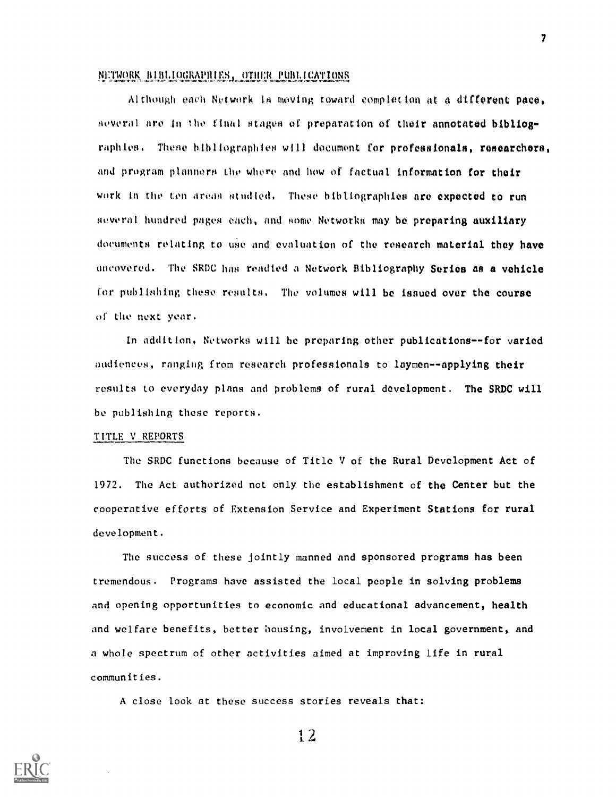### NETWORK BIBLIOGRAPHIES, OTHER PUBLICATIONS

Although each Network is moving toward completion at a different pace, several are In the final stages of preparation of their annotated bibliographies. These bibliographies will document for professionals, researchers, and program planners the where and how of factual information for their work In the ten areas studied. These bibliographien are expected to run several hundred pages each, and some Networks may be preparing auxiliary documents relating to use and evaluation of the research material they have uncovered. The SRDC has readied a Network Bibliography Series as a vehicle for publishing these results. The volumes will be issued over the course or the next year.

In addition, Networks will be preparing other publications--for varied audiences, ranging from research professionals to laymen--applying their results to everyday plans and problems of rural development. The SRDC will be publishing these reports.

### TITLE V REPORTS

The SRDC functions because of Title V of the Rural Development Act of 1972. The Act authorized not only the establishment of the Center but the cooperative efforts of Extension Service and Experiment Stations for rural development.

The success of these jointly manned and sponsored programs has been tremendous. Programs have assisted the local people in solving problems and opening opportunities to economic and educational advancement, health and welfare benefits, better housing, involvement in local government, and a whole spectrum of other activities aimed at improving life in rural communities.

A close look at these success stories reveals that: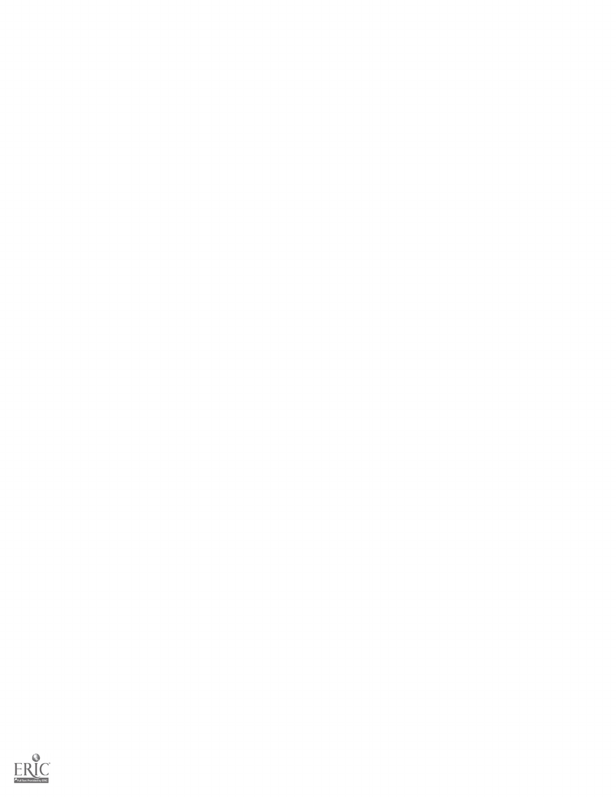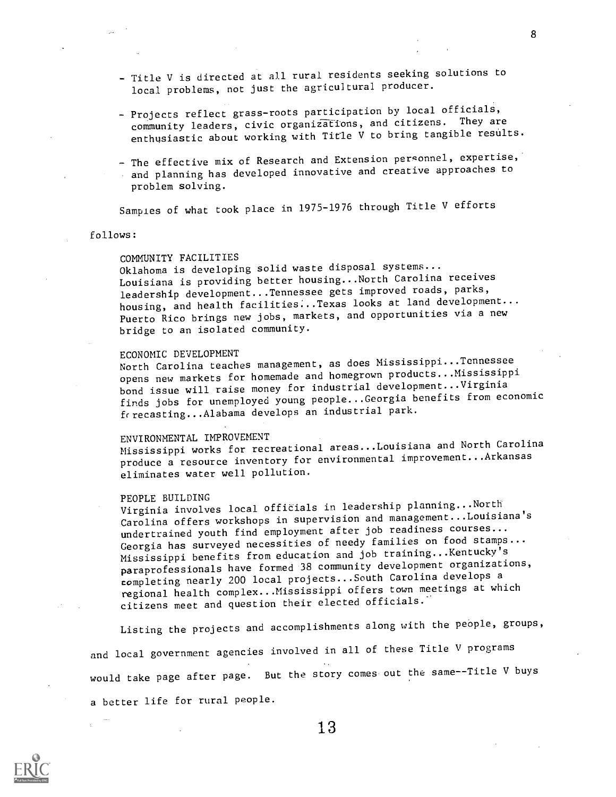- Title V is directed at all rural residents seeking solutions to local problems, not just the agricultural producer.
- Projects reflect grass-roots participation by local officials,<br>compunity loaders, sivic organizations, and citizens. They are community leaders, civic organizations, and citizens. enthusiastic about working with Title V to bring tangible results.
- The effective mix of Research and Extension personnel, expertise, and planning has developed innovative and creative approaches to problem solving.

Samples of what took place in 1975-1976 through Title V efforts

### follows:

### COMMUNITY FACILITIES

Oklahoma is developing solid waste disposal systems... Louisiana is providing better housing...North Carolina receives leadership development...Tennessee gets improved roads, parks, housing, and health facilities:..Texas looks at land development... Puerto Rico brings new jobs, markets, and opportunities via a new bridge to an isolated community.

### ECONOMIC DEVELOPMENT

North Carolina teaches management, as does Mississippi...Tennessee opens new markets for homemade and homegrown products...Mississippi bond issue will raise money for industrial development...Virginia finds jobs for unemployed young people...Georgia benefits from economic frrecasting...Alabama develops an industrial park.

ENVIRONMENTAL IMPROVEMENT Mississippi works for recreational areas...Louisiana and North Carolina produce a resource inventory for environmental improvement...Arkansas eliminates water well pollution.

### PEOPLE BUILDING

Virginia involves local officials in leadership planning...North Carolina offers workshops in supervision and management...Louisiana's undertrained youth find employment after job readiness courses... Georgia has surveyed necessities of needy families on food stamps... Mississippi benefits from education and job training...Kentucky's paraprofessionals have formed 38 community development organizations, completing nearly 200 local projects...South Carolina develops a regional health complex...Mississippi offers town meetings at which citizens meet and question their elected officials."

Listing the projects and accomplishments along with the people, groups, and local government agencies involved in all of these Title V programs would take page after page. But the story comes out the same--Title V buys a better life for rural people.

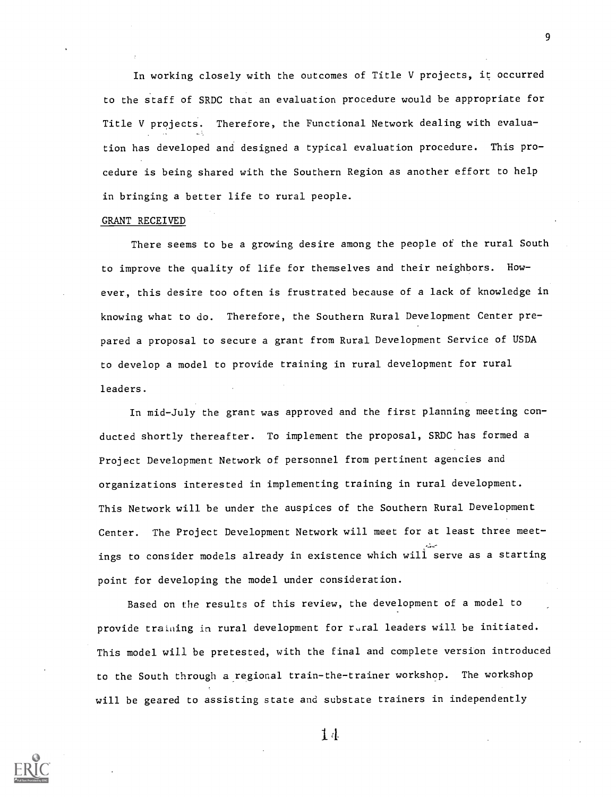In working closely with the outcomes of Title V projects, it occurred to the staff of SRDC that an evaluation procedure would be appropriate for Title V projects. Therefore, the Functional Network dealing with evaluation has developed and designed a typical evaluation procedure. This procedure is being shared with the Southern Region as another effort to help in bringing a better life to rural people.

### GRANT RECEIVED

There seems to be a growing desire among the people of the rural South to improve the quality of life for themselves and their neighbors. However, this desire too often is frustrated because of a lack of knowledge in knowing what to do. Therefore, the Southern Rural Development Center prepared a proposal to secure a grant from Rural Development Service of USDA to develop a model to provide training in rural development for rural leaders.

In mid-July the grant was approved and the first planning meeting conducted shortly thereafter. To implement the proposal, SRDC has formed a Project Development Network of personnel from pertinent agencies and organizations interested in implementing training in rural development. This Network will be under the auspices of the Southern Rural Development Center. The Project Development Network will meet for at least three meetings to consider models already in existence which will serve as a starting point for developing the model under consideration.

Based on the results of this review, the development of a model to provide training in rural development for rural leaders will be initiated. This model will be pretested, with the final and complete version introduced to the South through a regional train-the-trainer workshop. The workshop will be geared to assisting state and substate trainers in independently

1 I.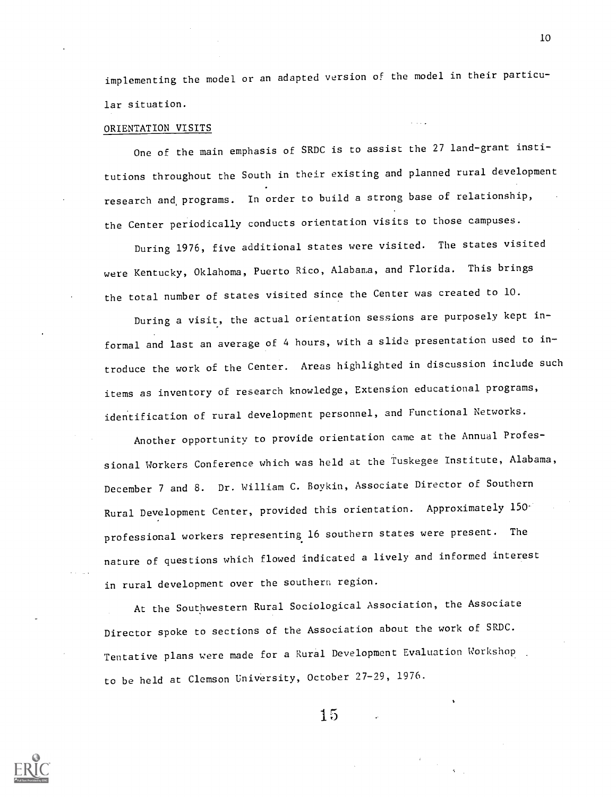implementing the model or an adapted version of the model in their particular situation.

### ORIENTATION VISITS

One of the main emphasis of SRDC is to assist the 27 land-grant institutions throughout the South in their existing and planned rural development research and, programs. In order to build a strong base of relationship, the Center periodically conducts orientation visits to those campuses.

During 1976, five additional states were visited. The states visited were Kentucky, Oklahoma, Puerto Rico, Alabama, and Florida. This brings the total number of states visited since the Center was created to 10.

During a visit, the actual orientation sessions are purposely kept informal and last an average of 4 hours, with a slide presentation used to introduce the work of the Center. Areas highlighted in discussion include such items as inventory of research knowledge, Extension educational programs, identification of rural development personnel, and Functional Networks.

Another opportunity to provide orientation came at the Annual Professional Workers Conference which was held at the Tuskegee Institute, Alabama, December 7 and 8. Dr. William C. Boykin, Associate Director of Southern Rural Development Center, provided this orientation. Approximately 150<sup>°</sup> professional workers representing 16 southern states were present. The nature of questions which flowed indicated a lively and informed interest in rural development over the southern region.

At the Southwestern Rural Sociological Association, the Associate Director spoke to sections of the Association about the work of SRDC. Tentative plans were made for a Rural Development Evaluation Workshop. to be held at Clemson University, October 27-29, 1976.



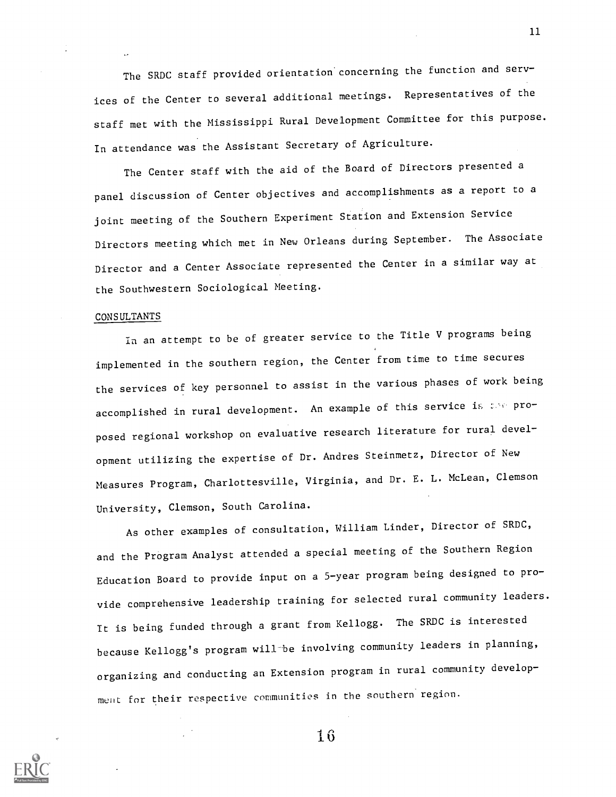The SRDC staff provided orientation concerning the function and services of the Center to several additional meetings. Representatives of the staff met with the Mississippi Rural Development Committee for this purpose. In attendance was the Assistant Secretary of Agriculture.

The Center staff with the aid of the Board of Directors presented a panel discussion of Center objectives and accomplishments as a report to a joint meeting of the Southern Experiment Station and Extension Service Directors meeting which met in New Orleans during September. The Associate Director and a Center Associate represented the Center in a similar way at the Southwestern Sociological Meeting.

### CONSULTANTS

in an attempt to be of greater service to the Title V programs being implemented in the southern region, the Center from time to time secures the services of key personnel to assist in the various phases of work being accomplished in rural development. An example of this service is the proposed regional workshop on evaluative research literature for rural devel opment utilizing the expertise of Dr. Andres Steinmetz, Director of New Measures Program, Charlottesville, Virginia, and Dr. E. L. McLean, Clemson University, Clemson, South Carolina.

As other examples of consultation, William Linder, Director of SRDC, and the Program Analyst attended a special meeting of the Southern Region Education Board to provide input on a 5-year program being designed to provide comprehensive leadership training for selected rural community leaders. It is being funded through a grant from Kellogg. The SRDC is interested because Kellogg's program will-be involving community leaders in planning, organizing and conducting an Extension program in rural community develop ment for their respective communities in the southern region.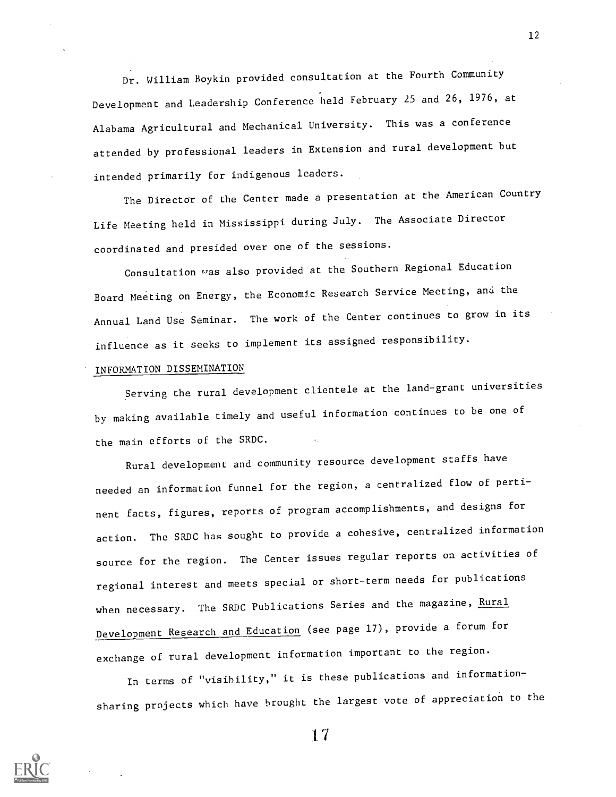Dr. William Boykin provided consultation at the Fourth Community Development and Leadership Conference held February 25 and 26, 1976, at Alabama Agricultural and Mechanical University. This was a conference attended by professional leaders in Extension and rural development but intended primarily for indigenous leaders.

The Director of the Center made a presentation at the American Country Life Meeting held in Mississippi during July. The Associate Director coordinated and presided over one of the sessions.

Consultation was also provided at the Southern Regional Education Board Meeting on Energy, the Economic Research Service Meeting, and the Annual Land Use Seminar. The work of the Center continues to grow in its influence as it seeks to implement its assigned responsibility.

### INFORMATION DISSEMINATION

Serving the rural development clientele at the land-grant universities by making available timely and useful information continues to be one of the main efforts of the SRDC.

Rural development and community resource development staffs have needed an information funnel for the region, a centralized flow of pertinent facts, figures, reports of program accomplishments, and designs for action. The SRDC has sought to provide a cohesive, centralized information source for the region. The Center issues regular reports on activities of regional interest and meets special or short-term needs for publications when necessary. The SRDC Publications Series and the magazine, Rural Development Research and Education (see page 17), provide a forum for exchange of rural development information important to the region.

In terms of "visibility," it is these publications and informationsharing projects which have brought the largest vote of appreciation to the

1 7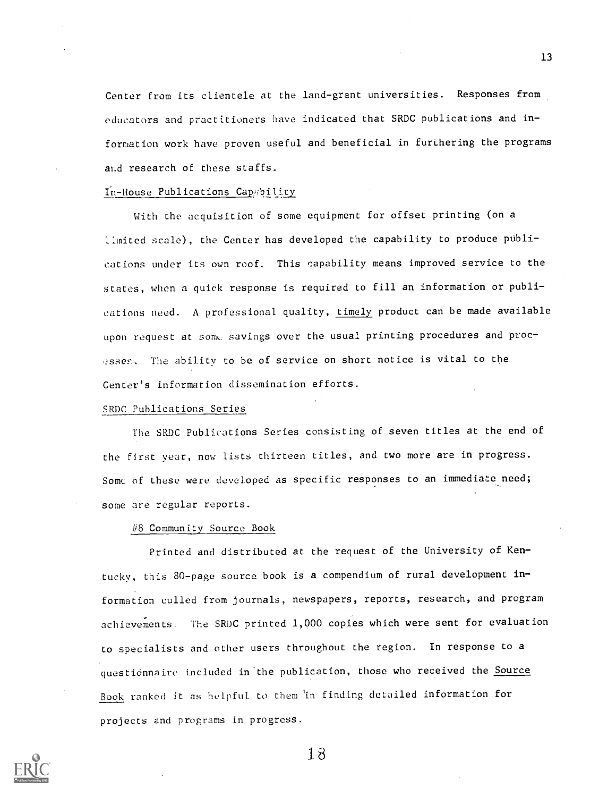Center from its clientele at the land-grant universities. Responses from educators and practitioners have indicated that SRDC publications and information work have proven useful and beneficial in furthering the programs and research of these staffs.

### fn-House Publications Capbility

With the acquisition of some equipment for offset printing (on a limited scale), the Center has developed the capability to produce publications under its own roof. This capability means improved service to the states, when a quick response is required to fill an information or publications need. A professional quality, timely product can be made available upon request at some savings over the usual printing procedures and processes. The ability to be of service on short notice is vital to the Center's information dissemination efforts.

### SRDC Publications Series

The SRDC Publications Series consisting of seven titles at the end of the first year, now lists thirteen titles, and two more are in progress. Somc of these were developed as specific responses to an immediate need; some are regular reports.

### #8 Community Source Book

Printed and distributed at the request of the University of Kentucky, this 80-page source book is a compendium of rural development information culled from journals, newspapers, reports, research, and prcgram achievements. The SRDC printed 1,000 copies which were sent for evaluation to specialists and other users throughout the region. In response to a questionnaire included in the publication, those who received the Source Book ranked it as helpful to them in finding detailed information for projects and programs in progress.



18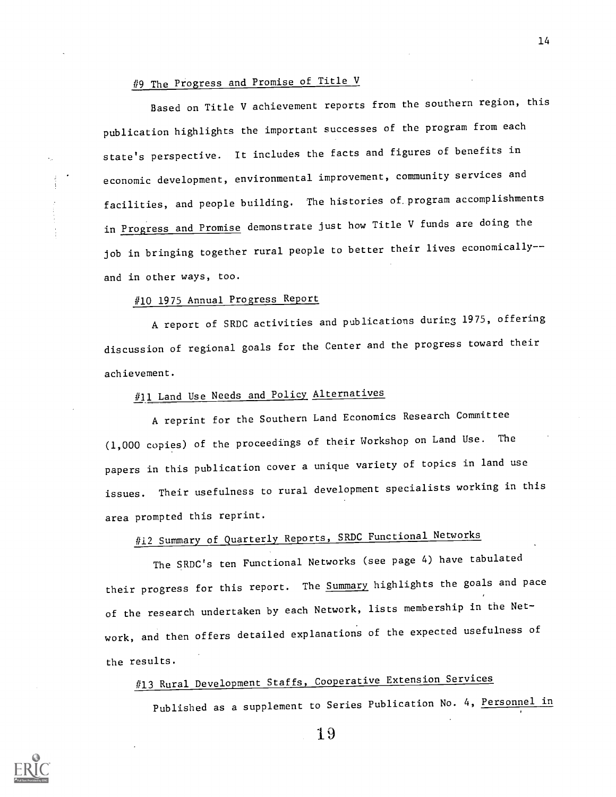## #9 The Progress and Promise of Title V

Based on Title V achievement reports from the southern region, this publication highlights the important successes of the program from each state's perspective. It includes the facts and figures of benefits in economic development, environmental improvement, community services and facilities, and people building. The histories of. program accomplishments in Progress and Promise demonstrate just how Title V funds are doing the job in bringing together rural people to better their lives economically- and in other ways, too.

### #10 1975 Annual Progress Report

A report of SRDC activities and publications during 1975, offering discussion of regional goals for the Center and the progress toward their achievement.

## #11 Land Use Needs and Policy Alternatives

A reprint for the Southern Land Economics Research Committee (1,000 copies) of the proceedings of their Workshop on Land Use. The papers in this publication cover a unique variety of topics in land use issues. Their usefulness to rural development specialists working in this area prompted this reprint.

# #12 Summary of Quarterly Reports, SRDC Functional Networks

The SRDC's ten Functional Networks (see page 4) have tabulated their progress for this report. The **Summary** highlights the goals and pace of the research undertaken by each Network, lists membership in the Net work, and then offers detailed explanations of the expected usefulness of the results.

# #13 Rural Development Staffs, Cooperative Extension Services

Published as a supplement to Series Publication No. 4, Personnel in



ł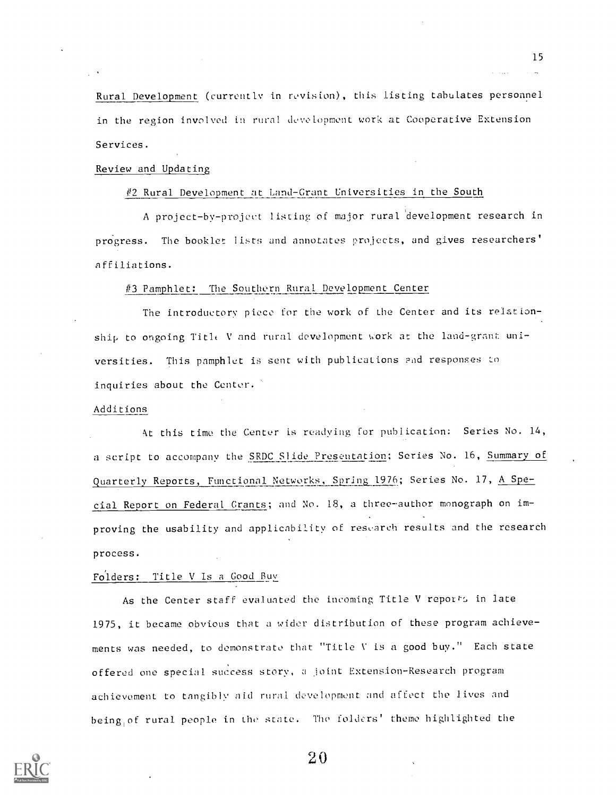Rural Development (currently in revision), this listing tabulates personnel in the region involved in rural development work at Cooperative Extension Services.

15

### Review and Updating

### #2 Rural Development at Land-Grant Universities in the South

A project-by-project listing of major rural development research in progress. The booklet lists and annotates projects, and gives researchers' affiliations.

### #3 Pamphlet: The Southern Rural Development Center

The introductory piece for the work of the Center and its relationship to ongoing Title V and rural development work at the land-grant universities. This pamphlet is sent with publications and responses to inquiries about the Center.

### Additions

At this time the Center is readying for publication: Series No. 14, a script to accompany the SRDC Slide Presentation; Series No. 16, Summary of Quarterly Reports, Functional Networks, Spring 1976; Series No. 17, A Special Report on Federal Grants; and No. 18, a three-author monograph on improving the usability and applicability of research results and the research process.

### Folders: Title V Is a Good Buy

As the Center staff evaluated the incoming Title V reports in late 1975, it became obvious that a wider distribution of these program achievements was needed, to demonstrate that "Title V is a good buy." Each state offered one special success story, a joint Extension-Researeh program achievement to tangibly aid rural development and affect the lives and being of rural people in the state. The folders' theme highlighted the

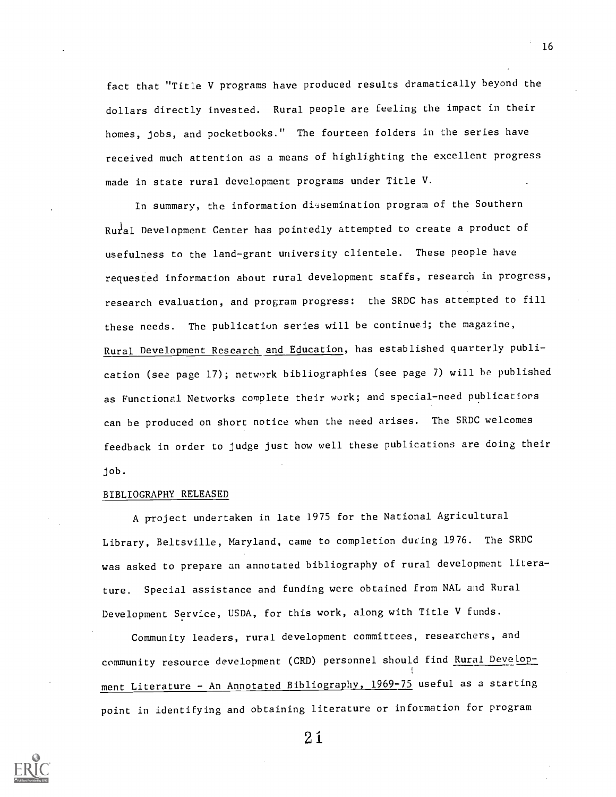fact that "Title V programs have produced results dramatically beyond the dollars directly invested. Rural people are feeling the impact in their homes, jobs, and pocketbooks." The fourteen folders in the series have received much attention as a means of highlighting the excellent progress made in state rural development programs under Title V.

In summary, the information dissemination program of the Southern Rural Development Center has pointedly attempted to create a product of usefulness to the land-grant university clientele. These people have requested information about rural development staffs, research in progress, research evaluation, and program progress: the SRDC has attempted to fill these needs. The publication series will be continued; the magazine, Rural Development Research and Education, has established quarterly publication (see page 17); network bibliographies (see page 7) will be published as Functional Networks complete their work; and special-need publications can be produced on short notice when the need arises. The SRDC welcomes feedback in order to judge just how well these publications are doing their job.

### BIBLIOGRAPHY RELEASED

A project undertaken in late 1975 for the National Agricultural Library, Beltsville, Maryland, came to completion during 1976. The SRDC was asked to prepare an annotated bibliography of rural development literature. Special assistance and funding were obtained from NAL and Rural Development Service, USDA, for this work, along with Title V funds.

Community leaders, rural development committees, researchers, and community resource development (CRD) personnel should find Rural Develop-! ment Literature - An Annotated Bibliography, 1969-75 useful as a starting point in identifying and obtaining literature or information for program



 $2i$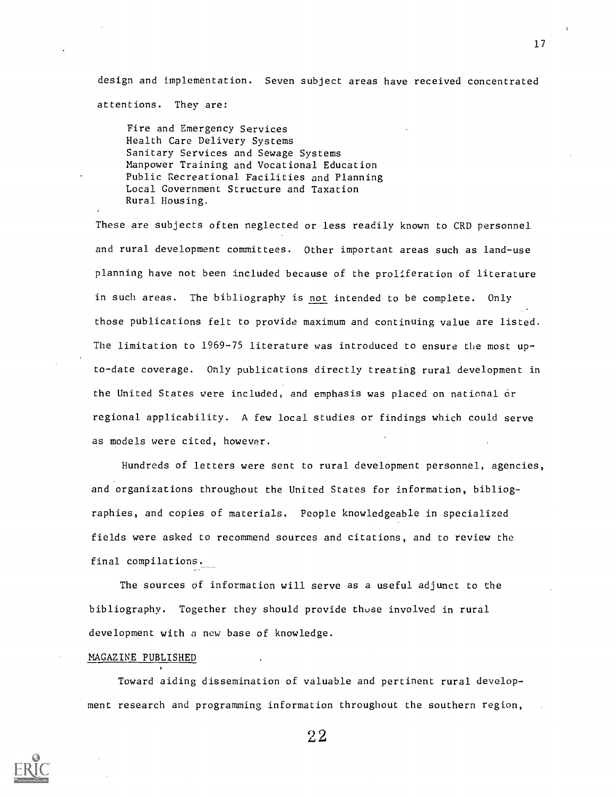design and implementation. Seven subject areas have received concentrated attentions. They are:

Fire and Emergency Services Health Care Delivery Systems Sanitary Services and Sewage Systems Manpower Training and Vocational Education Public Recreational Facilities and Planning Local Government Structure and Taxation Rural Housing.

These are subjects often neglected or less readily known to CRD personnel and rural development committees. Other important areas such as land-use planning have not been included because of the proliferation of literature in such areas. The bibliography is not intended to be complete. Only those publications felt to provide maximum and continuing value are listed. The limitation to 1969-75 literature was introduced to ensure the most upto-date coverage. Only publications directly treating rural development in the United States were included, and emphasis was placed on national or regional applicability. A few local studies or findings which could serve as models were cited, however.

Hundreds of letters were sent to rural development personnel, agencies, and organizations throughout the United States for information, bibliographies, and copies of materials. People knowledgeable in specialized fields were asked to recommend sources and citations, and to review the final compilations.

The sources of information will serve as a useful adjunct to the bibliography. Together they should provide those involved in rural development with a new base of knowledge.

### MAGAZINE PUBLISHED

Toward aiding dissemination of valuable and pertinent rural development research and programming information throughout the southern region,

 $2\,2$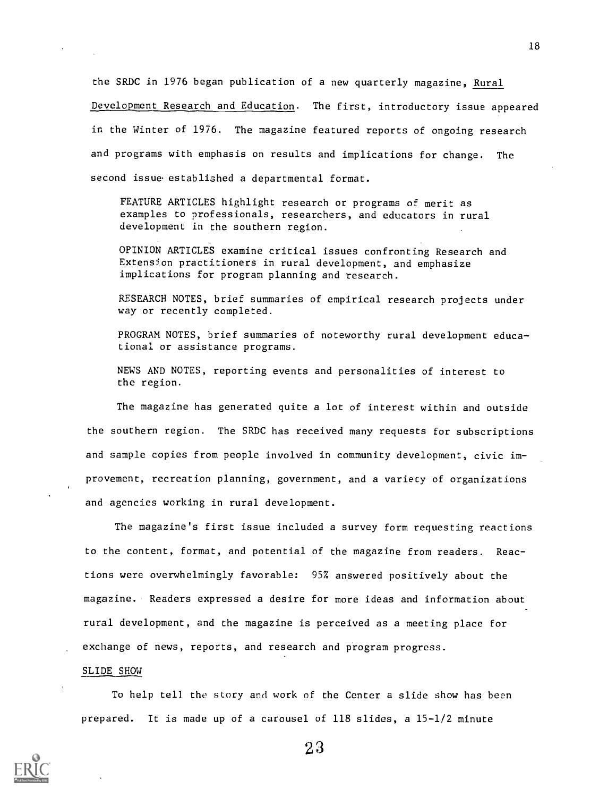the SRDC in 1976 began publication of a new quarterly magazine, Rural Development Research and Education. The first, introductory issue appeared in the Winter of 1976. The magazine featured reports of ongoing research and programs with emphasis on results and implications for change. The second issue established a departmental format.

FEATURE ARTICLES highlight research or programs of merit as examples to professionals, researchers, and educators in rural development in the southern region.

OPINION ARTICLES examine critical issues confronting Research and Extension practitioners in rural development, and emphasize implications for program planning and research.

RESEARCH NOTES, brief summaries of empirical research projects under way or recently completed.

PROGRAM NOTES, brief summaries of noteworthy rural development educational or assistance programs.

NEWS AND NOTES, reporting events and personalities of interest to the region.

The magazine has generated quite a lot of interest within and outside the southern region. The SRDC has received many requests for subscriptions and sample copies from people involved in community development, civic improvement, recreation planning, government, and a variety of organizations and agencies working in rural development.

The magazine's first issue included a survey form requesting reactions to the content, format, and potential of the magazine from readers. Reactions were overwhelmingly favorable: 95% answered positively about the magazine. Readers expressed a desire for more ideas and information about rural development, and the magazine is perceived as a meeting place for exchange of news, reports, and research and program progress.

#### SLIDE SHOW

To help tell the story and work of the Center a slide show has been prepared. It is made up of a carousel of 118 slides, a 15-1/2 minute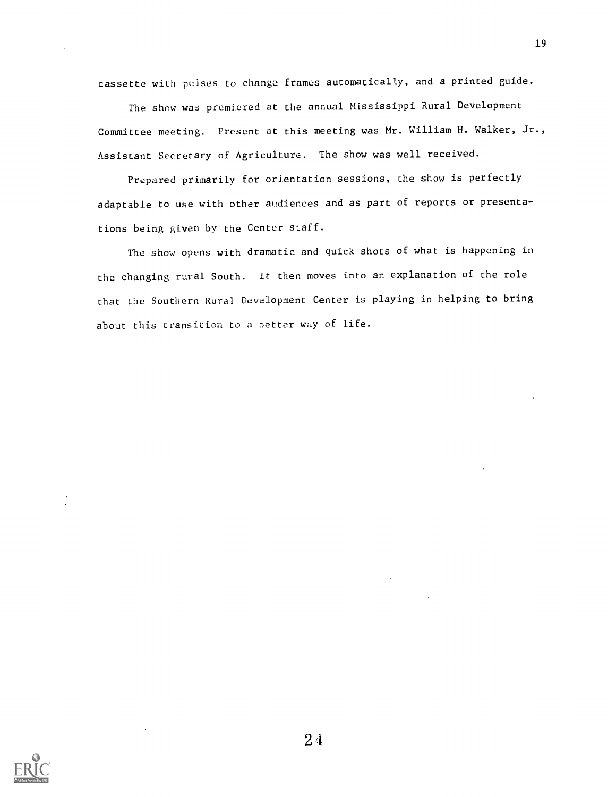cassette with.puises to change frames automatically, and a printed guide.

The show was premiered at the annual Mississippi Rural Development Committee meeting. Present at this meeting was Mr. William H. Walker, Jr., Assistant Secretary of Agriculture. The show was well received.

Prepared primarily for orientation sessions, the show is perfectly adaptable to use with other audiences and as part of reports or presentations being given by the Center staff.

The show opens with dramatic and quick shots of what is happening in the changing rural South. It then moves into an explanation of the role that the Southern Rural Development Center is playing in helping to bring about this transition to a better way of life.

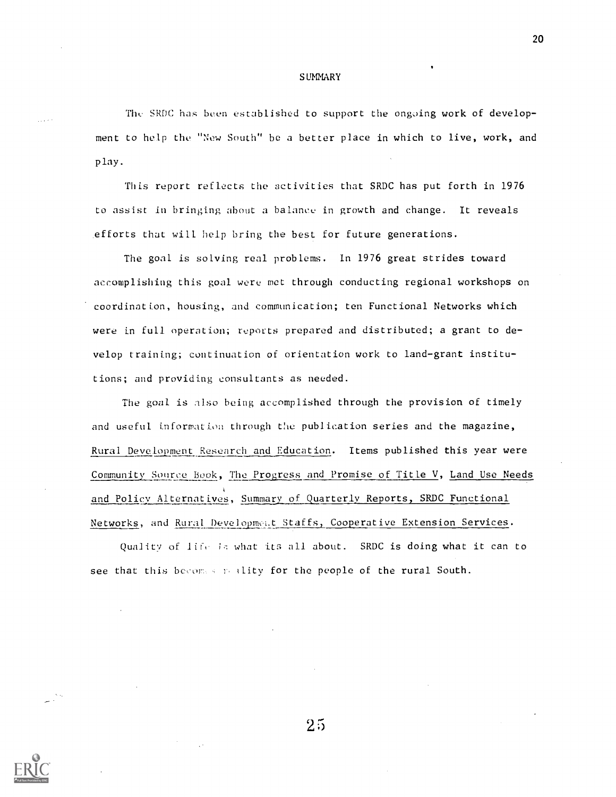#### SUMMARY

The SRDC has been established to support the ongoing work of development to help the "New South" be a better place in which to live, work, and play.

This report reflects the activities that SRDC has put forth in 1976 to assist in bringing about a balance in growth and change. It reveals .efforts that will help bring the best for future generations.

The goal is solving real problems. In 1976 great strides toward accomplishing this goal were met through conducting regional workshops on coordination, housing, and communication; ten Functional Networks which were in full. operation; reports prepared and distributed; a grant to develop training; continuation of orientation work to land-grant institutions; and providing consultants as needed.

The goal is also being accomplished through the provision of timely and useful information through the publication series and the magazine, Rural Develonment Research and Education. Items published this year were Community Source Book, The Progress and Promise of Title V, Land Use Needs and Policy Alternatives, Summary of Quarterly Reports, SRDC Functional Networks, and Rural Development Staffs, Cooperative Extension Services.

Quality of life is what its all about. SRDC is doing what it can to see that this becomes reality for the people of the rural South.

 $25$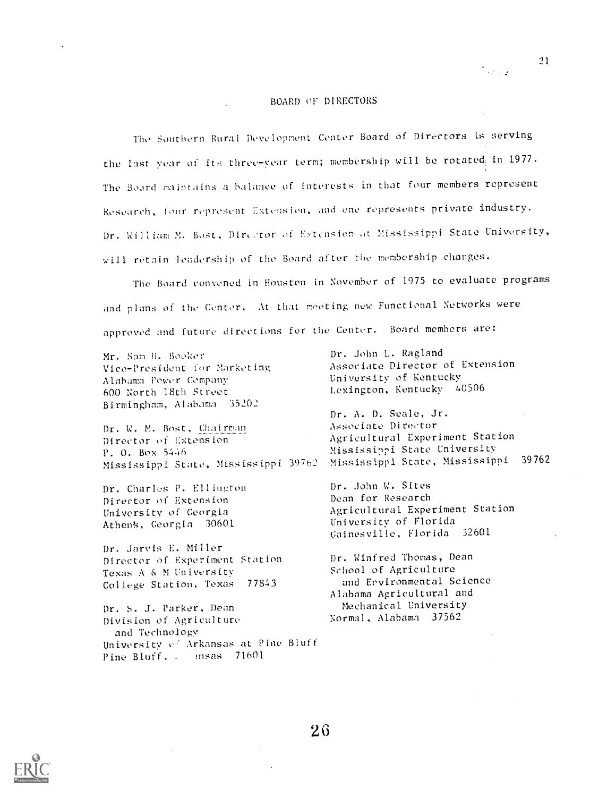### BOARD OF DIRECTORS

The Southern Rural Development Center Board of Directors is serving the last year of its three-year term; membership will be rotated in 1977. The Board maintains a balance of interests in that four members represent Research, tour represent Extension, and ene represents private industry. Dr. William M. Bost, Director of Extension at Mississippi State University, will retain leadership of the Board after the membership changes.

The Board convened in Houston in November of 1975 to evaluate programs and plans of the Center. At that mooting new Functional Networks were approved and future directions for the Center. Board members are:

Mr. Sam H. Booker Vico-Prosident for Xarkoting Alabama Power Company 600 North 18th Street Birmingham, Alabama 33202

Dr. W. M. Bost, Chairman Director of Extension P. O. Box 5446 Mississippi State, Mississippi 3976'

Dr. Charles P. Ellington Director of Extension University of Georgia Athen's, Georgia 30601

Dr. Jarvis E. Miller Director of Experiment Station Texas A & M University College Station, Texas 77843

Dr. S. J. Parker, Dean Division of Agriculture and Technology University Arkansas at Pine Bluff Pine Bluff, . msas 71601

Dr. John L. Ragland Associate Director of Extension University of Kentucky Lexington, Kentucky 40506

Dr. A. D. Seale, Jr. Associate Director. Agricultural Experiment Station Mississi7pi State University Mississippi State, Mississippi 39762

91

Dr. John W. Sites Dean for Research Agricultural Experiment Station University of Florida Gainesville, Florida 32601

Dr. Winfred Thomas, Dean School of Agriculture and Ervironmental Science Alabama Agricultural and Mechanical University Normal, Alabama 37562

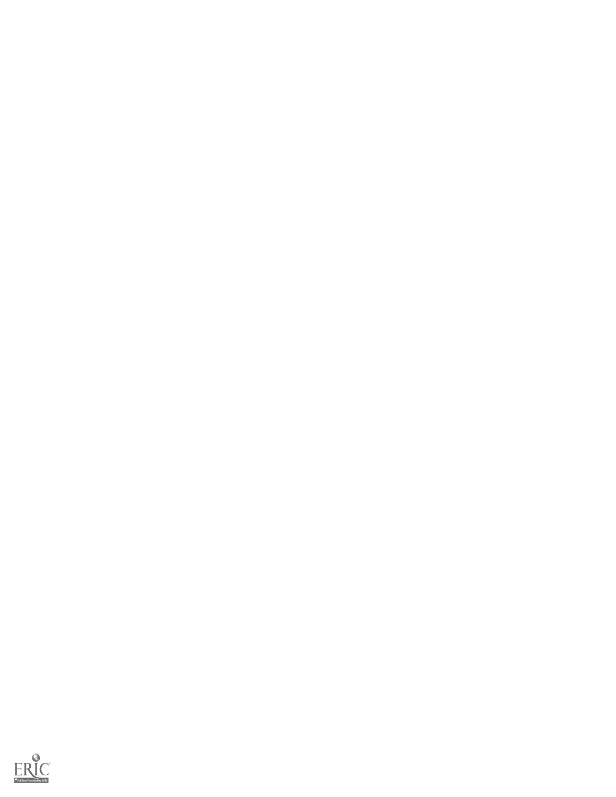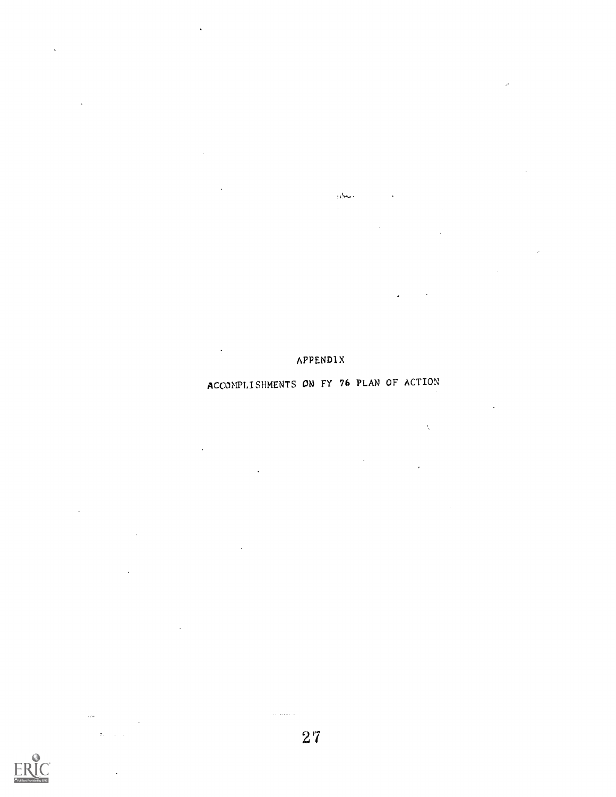$\bar{\lambda}$ 

 $\hat{\theta}$ 

 $\alpha$  $\label{eq:2.1} \mathcal{F}(\mathcal{F}) = \mathcal{F}(\mathcal{F}) \mathcal{F}(\mathcal{F})$  $\mathcal{L}_{\text{in}}$  $\hat{\mathbf{z}}$ 

### APPENDIX

 $\bar{\gamma}$ 

# ACCOMPLISHMENTS ON FY 76 PLAN OF ACTION

 $\bar{\Delta}$  $\ddot{\phantom{a}}$  $\frac{1}{2}$  $\ddot{\phantom{a}}$ 

 $\mathcal{A}$ 

 $\langle \delta \theta \rangle = \langle \phi \rangle$  $\mathcal{O}(\mathfrak{g}_1)$  . The  $\mathcal{O}(\mathfrak{g}_2)$ 

 $\sim$   $\sim$   $\sim$ 

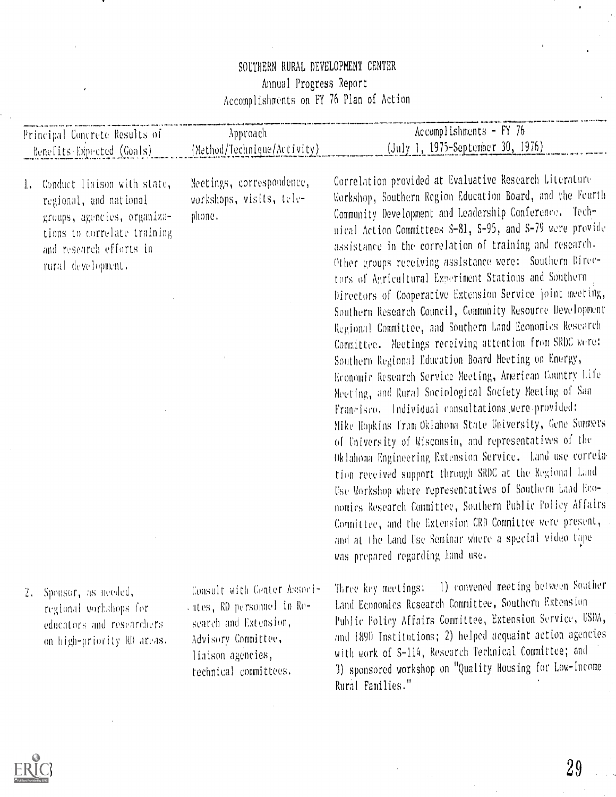# SOUTHERN RURAL DEVELOPMENT CENTER Annual Progress Report Accomplishments on FY 76 Plan of Action

| Principal Concrete Results of<br>Benefits Expected (Goals) |                                                                                                                                                                      | Approach<br>(Method/Technique/Activity)                                                                                                                 | Accomplishments - FY 76<br>(July 1, 1975-September 30, 1976)                                                                                                                                                                                                                                                                                                                                                                                                                                                                                                                                                                                                                                                                                                                                                                                                                                                                                                                                                                                                                                                                                                                                                                                                                                                                                                                                                                                     |  |  |  |  |
|------------------------------------------------------------|----------------------------------------------------------------------------------------------------------------------------------------------------------------------|---------------------------------------------------------------------------------------------------------------------------------------------------------|--------------------------------------------------------------------------------------------------------------------------------------------------------------------------------------------------------------------------------------------------------------------------------------------------------------------------------------------------------------------------------------------------------------------------------------------------------------------------------------------------------------------------------------------------------------------------------------------------------------------------------------------------------------------------------------------------------------------------------------------------------------------------------------------------------------------------------------------------------------------------------------------------------------------------------------------------------------------------------------------------------------------------------------------------------------------------------------------------------------------------------------------------------------------------------------------------------------------------------------------------------------------------------------------------------------------------------------------------------------------------------------------------------------------------------------------------|--|--|--|--|
| $\mathbf{L}$                                               | Conduct liaison with state,<br>regional, and national<br>groups, agencies, organiza-<br>tions to correlate training<br>and research efforts in<br>rural development. | Meetings, correspondence,<br>workshops, visits, tele-<br>phone.                                                                                         | Correlation provided at Evaluative Research Literature<br>Eorkshop, Southern Region Education Board, and the Fourth<br>Community Development and Leadership Conference. Tech-<br>nical Action Committees S-81, S-95, and S-79 were provide<br>assistance in the correlation of training and research.<br>Other groups receiving assistance were: Southern Direc-<br>tors of Agricultural Experiment Stations and Southern<br>Directors of Cooperative Extension Service joint meeting,<br>Southern Research Council, Community Resource Development<br>Regional Committee, and Southern Land Economics Research<br>Committee. Meetings receiving attention from SRDC were:<br>Southern Regional Education Board Meeting on Energy,<br>Economic Research Service Meeting, American Country Life<br>Meeting, and Rural Sociological Society Meeting of San<br>Francisco. Individual consultations were provided:<br>Mike Hopkins from Oklahoma State University, Gene Summers<br>of University of Wisconsin, and representatives of the<br>Oklahoma Engineering Extension Service. Land use correla-<br>tion received support through SRDC at the Regional Land<br>Use Workshop where representatives of Southern Land Eco-<br>nomics Research Committee, Southern Public Policy Affairs<br>Committee, and the Extension CRD Committee were present,<br>and at the Land Use Seminar where a special video tape<br>was prepared regarding land use. |  |  |  |  |
| $\mathcal{L}_{\mathbf{r}}$                                 | Sponsor, as needed,<br>regional workshops for<br>educators and researchers<br>on high-priority RD areas.                                                             | Consult with Center Associ-<br>-ates, RD personnel in Re-<br>search and Extension,<br>Advisory Committee,<br>liaison agencies,<br>technical committees. | 1) convened meeting between Souther<br>Three key meetings:<br>Land Economics Research Committee, Southern Extension<br>Public Policy Affairs Committee, Extension Service, USDA,<br>and 1890 Institutions; 2) helped acquaint action agencies<br>with work of S-114, Research Technical Committee; and<br>3) sponsored workshop on "Quality Housing for Low-Income<br>Rural Families."                                                                                                                                                                                                                                                                                                                                                                                                                                                                                                                                                                                                                                                                                                                                                                                                                                                                                                                                                                                                                                                           |  |  |  |  |

 $\overline{C}$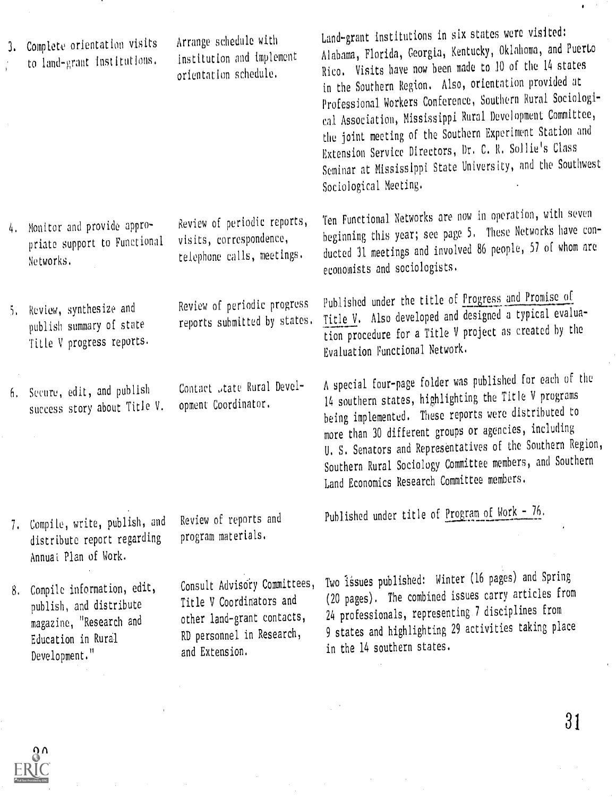| Ten Functional Networks are now in operation, with seven<br>Review of periodic reports,<br>Monitor and provide appro-<br>4.<br>beginning this year; see page 5. These Networks have con-<br>visits, correspondence,<br>priate support to Functional<br>ducted 31 meetings and involved 86 people, 57 of whom are<br>telephone calls, meetings.<br>Networks.<br>economists and sociologists.<br>Published under the title of Progress and Promise of<br>Review of periodic progress<br>Review, synthesize and<br>5.<br>Title V. Also developed and designed a typical evalua-<br>reports submitted by states.<br>publish summary of state<br>tion procedure for a Title V project as created by the<br>Title V progress reports.<br>Evaluation Functional Network.<br>A special four-page folder was published for each of the<br>Contact Utate Rural Devel-<br>6. Secure, edit, and publish<br>14 southern states, highlighting the Title V programs<br>opment Coordinator.<br>success story about Title V.<br>being implemented. These reports were distributed to<br>more than 30 different groups or agencies, including<br>U. S. Senators and Representatives of the Southern Region,<br>Southern Rural Sociology Committee members, and Southern<br>Land Economics Research Committee members.<br>Published under title of Program of Work - 76.<br>Review of reports and<br>7. Compile, write, publish, and<br>program materials.<br>distribute report regarding<br>Annual Plan of Work.<br>Two issues published: Winter (16 pages) and Spring<br>Consult Advisory Committees,<br>Compile information, edit,<br>8.<br>(20 pages). The combined issues carry articles from<br>Title V Coordinators and<br>publish, and distribute<br>24 professionals, representing 7 disciplines from<br>other land-grant contacts,<br>magazine, "Research and<br>9 states and highlighting 29 activities taking place<br>RD personnel in Research,<br>Education in Rural<br>in the 14 southern states.<br>and Extension.<br>Development." | 3. Complete orientation visits<br>to land-grant institutions. | Arrange schedule with<br>institution and implement<br>orientation schedule. | Land-grant institutions in six states were visited:<br>Alabama, Florida, Georgia, Kentucky, Oklahoma, and Puerto<br>Rico. Visits have now been made to 10 of the 14 states<br>in the Southern Region. Also, orientation provided at<br>Professional Workers Conference, Southern Rural Sociologi-<br>cal Association, Mississippi Rural Development Committee,<br>the joint meeting of the Southern Experiment Station and<br>Extension Service Directors, Dr. C. R. Sollie's Class<br>Seminar at Mississippi State University, and the Southwest<br>Sociological Meeting. |
|----------------------------------------------------------------------------------------------------------------------------------------------------------------------------------------------------------------------------------------------------------------------------------------------------------------------------------------------------------------------------------------------------------------------------------------------------------------------------------------------------------------------------------------------------------------------------------------------------------------------------------------------------------------------------------------------------------------------------------------------------------------------------------------------------------------------------------------------------------------------------------------------------------------------------------------------------------------------------------------------------------------------------------------------------------------------------------------------------------------------------------------------------------------------------------------------------------------------------------------------------------------------------------------------------------------------------------------------------------------------------------------------------------------------------------------------------------------------------------------------------------------------------------------------------------------------------------------------------------------------------------------------------------------------------------------------------------------------------------------------------------------------------------------------------------------------------------------------------------------------------------------------------------------------------------------------------------------------------------------------------------------------------------|---------------------------------------------------------------|-----------------------------------------------------------------------------|----------------------------------------------------------------------------------------------------------------------------------------------------------------------------------------------------------------------------------------------------------------------------------------------------------------------------------------------------------------------------------------------------------------------------------------------------------------------------------------------------------------------------------------------------------------------------|
|                                                                                                                                                                                                                                                                                                                                                                                                                                                                                                                                                                                                                                                                                                                                                                                                                                                                                                                                                                                                                                                                                                                                                                                                                                                                                                                                                                                                                                                                                                                                                                                                                                                                                                                                                                                                                                                                                                                                                                                                                                  |                                                               |                                                                             |                                                                                                                                                                                                                                                                                                                                                                                                                                                                                                                                                                            |
|                                                                                                                                                                                                                                                                                                                                                                                                                                                                                                                                                                                                                                                                                                                                                                                                                                                                                                                                                                                                                                                                                                                                                                                                                                                                                                                                                                                                                                                                                                                                                                                                                                                                                                                                                                                                                                                                                                                                                                                                                                  |                                                               |                                                                             |                                                                                                                                                                                                                                                                                                                                                                                                                                                                                                                                                                            |
|                                                                                                                                                                                                                                                                                                                                                                                                                                                                                                                                                                                                                                                                                                                                                                                                                                                                                                                                                                                                                                                                                                                                                                                                                                                                                                                                                                                                                                                                                                                                                                                                                                                                                                                                                                                                                                                                                                                                                                                                                                  |                                                               |                                                                             |                                                                                                                                                                                                                                                                                                                                                                                                                                                                                                                                                                            |
|                                                                                                                                                                                                                                                                                                                                                                                                                                                                                                                                                                                                                                                                                                                                                                                                                                                                                                                                                                                                                                                                                                                                                                                                                                                                                                                                                                                                                                                                                                                                                                                                                                                                                                                                                                                                                                                                                                                                                                                                                                  |                                                               |                                                                             |                                                                                                                                                                                                                                                                                                                                                                                                                                                                                                                                                                            |
|                                                                                                                                                                                                                                                                                                                                                                                                                                                                                                                                                                                                                                                                                                                                                                                                                                                                                                                                                                                                                                                                                                                                                                                                                                                                                                                                                                                                                                                                                                                                                                                                                                                                                                                                                                                                                                                                                                                                                                                                                                  |                                                               |                                                                             |                                                                                                                                                                                                                                                                                                                                                                                                                                                                                                                                                                            |



п.

31

 $\frac{1}{2}$ 

 $\bar{\mathbf{r}}$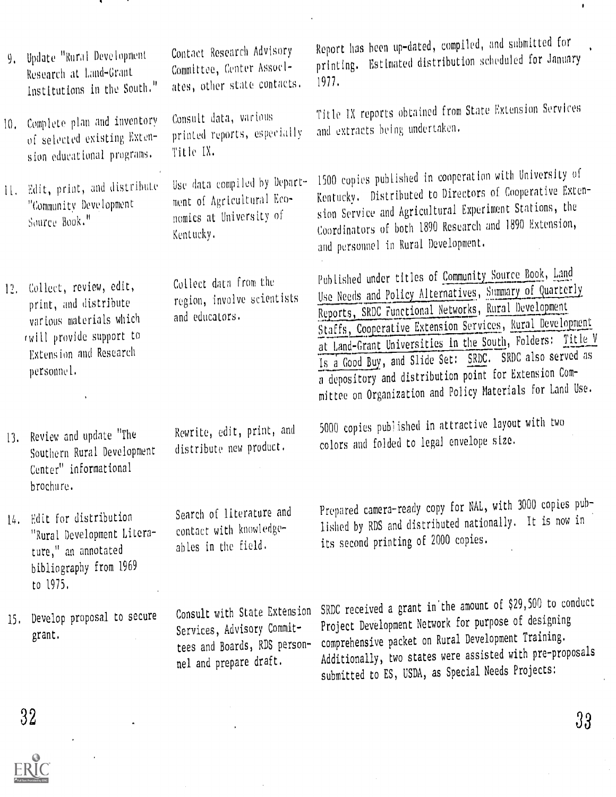|     | 9. Update "Rural Development<br>Research at Land-Grant<br>Institutions in the South."                                                              | Contact Research Advisory<br>Committee, Center Associ-<br>ates, other state contacts.                                | Report has been up-dated, compiled, and submitted for<br>printing. Estimated distribution scheduled for January<br>1977.                                                                                                                                                                                                                                                                                                                                                             |
|-----|----------------------------------------------------------------------------------------------------------------------------------------------------|----------------------------------------------------------------------------------------------------------------------|--------------------------------------------------------------------------------------------------------------------------------------------------------------------------------------------------------------------------------------------------------------------------------------------------------------------------------------------------------------------------------------------------------------------------------------------------------------------------------------|
| 10. | Complete plan and inventory<br>of selected existing Exten-<br>sion educational programs.                                                           | Consult data, various<br>printed reports, especially<br>Title IX.                                                    | Title IX reports obtained from State Extension Services<br>and extracts being undertaken.                                                                                                                                                                                                                                                                                                                                                                                            |
|     | 11. Edit, print, and distribute<br>"Community Development<br>Source Book."                                                                         | Use data compiled by Depart-<br>ment of Agricultural Eco-<br>nomics at University of<br>Kentucky.                    | 1500 copies published in cooperation with University of<br>Kentucky. Distributed to Directors of Cooperative Exten-<br>sion Service and Agricultural Experiment Stations, the<br>Coordinators of both 1890 Research and 1890 Extension,<br>and personnel in Rural Development.                                                                                                                                                                                                       |
|     | 12. Collect, review, edit,<br>print, and distribute<br>various materials which<br>(will provide support to<br>Extension and Research<br>personnel. | Collect data from the<br>region, involve scientists<br>and educators.                                                | Published under titles of Community Source Book, Land<br>Use Needs and Policy Alternatives, Summary of Quarterly<br>Reports, SRDC Functional Networks, Rural Development<br>Staffs, Cooperative Extension Services, Rural Development<br>at Land-Grant Universities in the South, Folders: Title V<br>Is a Good Buy, and Slide Set: SRDC. SRDC also served as<br>a depository and distribution point for Extension Com-<br>mittee on Organization and Policy Materials for Land Use. |
|     | 13. Review and update "The<br>Southern Rural Development<br>Center" informational<br>brochure.                                                     | Rewrite, edit, print, and<br>distribute new product.                                                                 | 5000 copies published in attractive layout with two<br>colors and folded to legal envelope size.                                                                                                                                                                                                                                                                                                                                                                                     |
| 14. | Edit for distribution<br>"Rural Development Litera-<br>ture," an annotated<br>bibliography from 1969<br>to 1975.                                   | Search of literature and<br>contact with knowledge-<br>ables in the field.                                           | Prepared camera-ready copy for NAL, with 3000 copies pub-<br>lished by RDS and distributed nationally. It is now in<br>its second printing of 2000 copies.                                                                                                                                                                                                                                                                                                                           |
|     | 15. Develop proposal to secure<br>grant.                                                                                                           | Consult with State Extension<br>Services, Advisory Commit-<br>tees and Boards, RDS person-<br>nel and prepare draft. | SRDC received a grant in the amount of \$29,500 to conduct<br>Project Development Network for purpose of designing<br>comprehensive packet on Rural Development Training.<br>Additionally, two states were assisted with pre-proposals<br>submitted to ES, USDA, as Special Needs Projects:                                                                                                                                                                                          |

э.

л.



33

 $\pmb{\cdot}$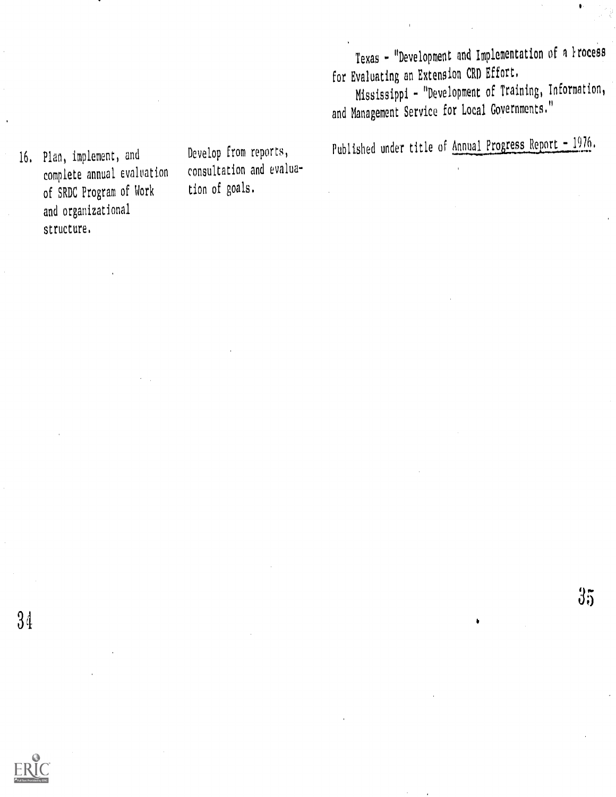Texas - "Development and Implementation of a Process for Evaluating an Extension CRD Effort,

 $\bullet$ 

 $35$ 

Mississippi - 'Development of Training, Information, and Management Service for Local Governments."

Published under title of Annual Progress Report - 1976.

16. Plan, implement, and Develop from reports,<br>
complete annual evaluation consultation and evaluacomplete annual evaluation consultation and evaluation consultation and evaluaof SRDC Program of Work and organizational structure.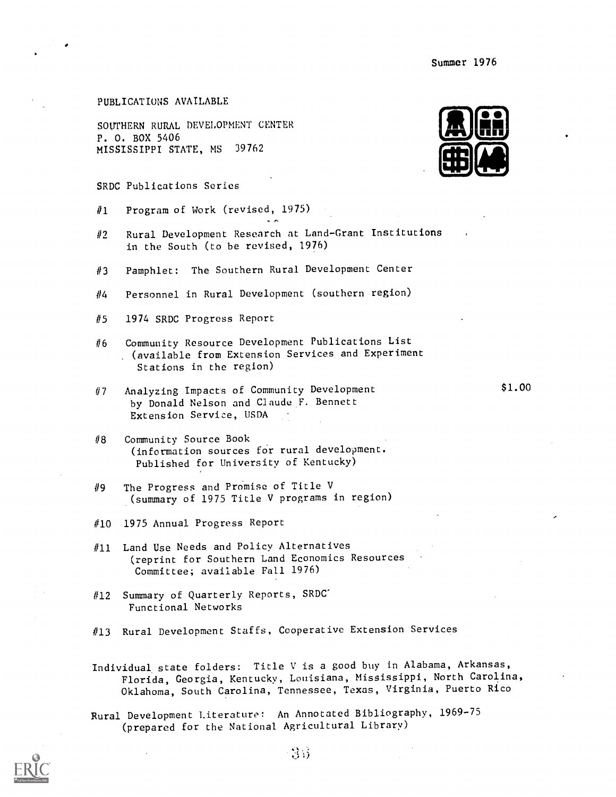### PUBLICATIONS AVAILABLE

SOUTHERN RURAL DEVELOPMENT CENTER P. O. BOX 5406 MISSISSIPPI STATE, MS 39762

SRDC Publications Series

- #1 Program of Work (revised, 1975)
- #2 Rural Development Research at Land-Grant Institutions in the South (to be revised, 1976)
- #3 Pamphlet: The Southern Rural Development Center
- #4 Personnel in Rural Development (southern region)
- <sup>115</sup> 1974 SRDC Progress Report
- <sup>116</sup> Community Resource Development Publications List (available from Extension Services and Experiment Stations in the region)
- #7 Analyzing Impacts of Community Development by Donald Nelson and Claude,F. Bennett Extension Service, USDA
- #8 Community Source Book (information sources for rural development. Published for University of Kentucky)
- 1/9 The Progress and Promise of Title V .(summary of 1975 Title V programs in region)
- #10 1975 Annual Progress Report
- #11 Land Use Needs and Policy Alternatives (reprint for Southern Land Economics Resources Committee; available Fall 1976)
- #12 Summary of Quarterly Reports, SRDC" Functional Networks
- #13 Rural Development Staffs, Cooperative Extension Services

Individual, state folders: Title V is a good buy in Alabama, Arkansas, Florida, Georgia, Kentucky, Louisiana, Mississippi, North Carolina, Oklahoma, South Carolina, Tennessee, Texas, Virginia, Puerto Rico

Rural Development Literature: An Annotated Bibliography, 1969-75 (prepared for the National Agricultural Library)





\$1.00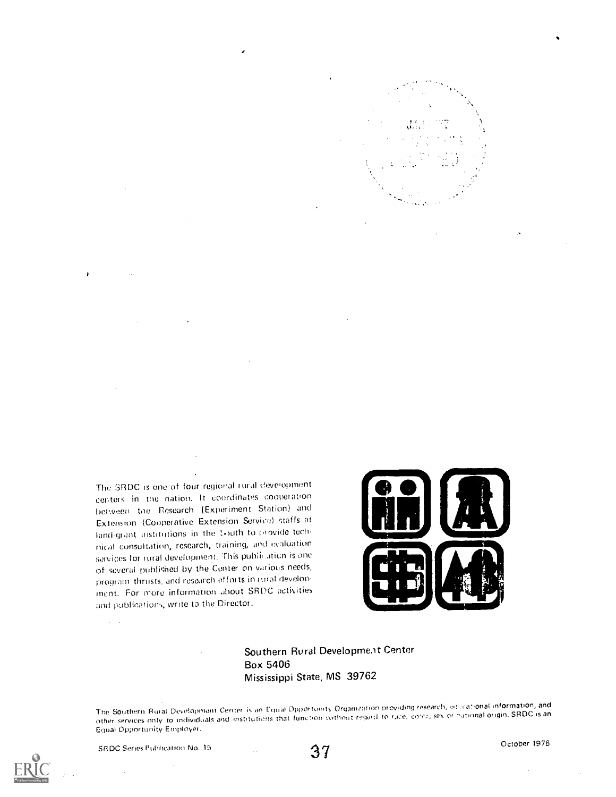

The SRDC is one of four regional rural development centers in the nation. It coordinates cooperation between the Research (Experiment Station) and Extension (Cooperative Extension Service) staffs at land-grant institutions in the Couth to provide technical consultation, research, training, and evaluation services for rural development. This publication is one of several published by the Center on various needs, program, thrusts, and research efforts in rural development. For more information about SRDC activities and publications, write to the Director.



Southern Rural Development Center Box 5406 Mississippi State, MS 39762

The Southern Rural Development Center is an Equal Opportunity Organization providing research, educational information, and other services only to individuals and institutions that function without regard to race, color, sex or national origin, SRDC is an Equal Opportunity Employer.

SRDC Series Publication No. 15

October 1976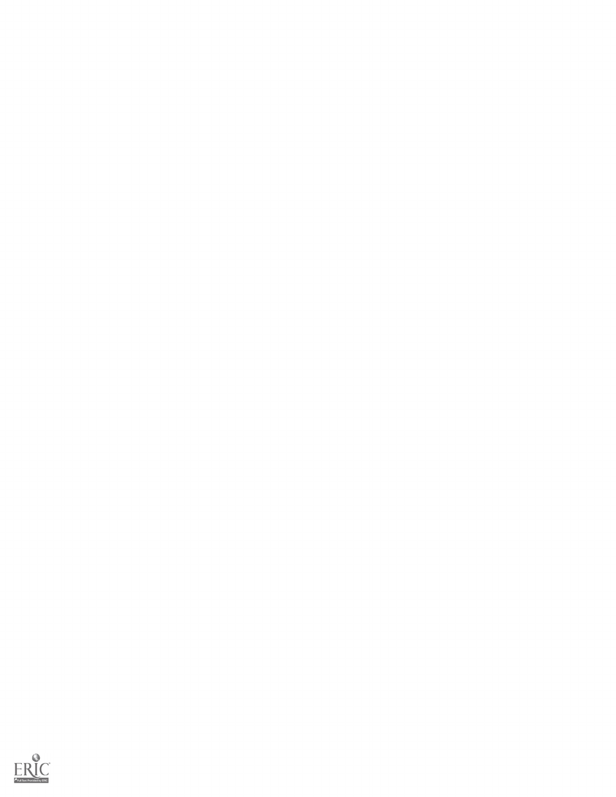